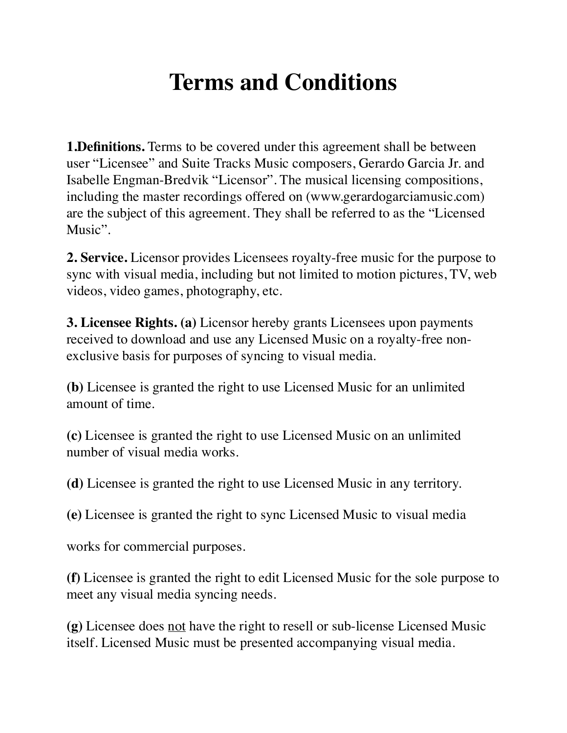## **Terms and Conditions**

**1.Definitions.** Terms to be covered under this agreement shall be between user "Licensee" and Suite Tracks Music composers, Gerardo Garcia Jr. and Isabelle Engman-Bredvik "Licensor". The musical licensing compositions, including the master recordings offered on (www.gerardogarciamusic.com) are the subject of this agreement. They shall be referred to as the "Licensed Music".

**2. Service.** Licensor provides Licensees royalty-free music for the purpose to sync with visual media, including but not limited to motion pictures, TV, web videos, video games, photography, etc.

**3. Licensee Rights. (a)** Licensor hereby grants Licensees upon payments received to download and use any Licensed Music on a royalty-free nonexclusive basis for purposes of syncing to visual media.

**(b)** Licensee is granted the right to use Licensed Music for an unlimited amount of time.

**(c)** Licensee is granted the right to use Licensed Music on an unlimited number of visual media works.

**(d)** Licensee is granted the right to use Licensed Music in any territory.

**(e)** Licensee is granted the right to sync Licensed Music to visual media

works for commercial purposes.

**(f)** Licensee is granted the right to edit Licensed Music for the sole purpose to meet any visual media syncing needs.

**(g)** Licensee does not have the right to resell or sub-license Licensed Music itself. Licensed Music must be presented accompanying visual media.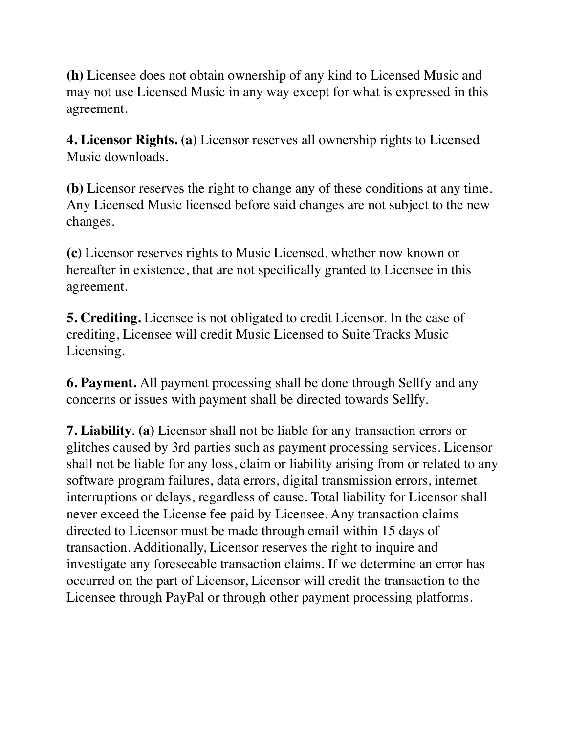**(h)** Licensee does not obtain ownership of any kind to Licensed Music and may not use Licensed Music in any way except for what is expressed in this agreement.

**4. Licensor Rights. (a)** Licensor reserves all ownership rights to Licensed Music downloads.

**(b)** Licensor reserves the right to change any of these conditions at any time. Any Licensed Music licensed before said changes are not subject to the new changes.

**(c)** Licensor reserves rights to Music Licensed, whether now known or hereafter in existence, that are not specifically granted to Licensee in this agreement.

**5. Crediting.** Licensee is not obligated to credit Licensor. In the case of crediting, Licensee will credit Music Licensed to Suite Tracks Music Licensing.

**6. Payment.** All payment processing shall be done through Sellfy and any concerns or issues with payment shall be directed towards Sellfy.

**7. Liability**. **(a)** Licensor shall not be liable for any transaction errors or glitches caused by 3rd parties such as payment processing services. Licensor shall not be liable for any loss, claim or liability arising from or related to any software program failures, data errors, digital transmission errors, internet interruptions or delays, regardless of cause. Total liability for Licensor shall never exceed the License fee paid by Licensee. Any transaction claims directed to Licensor must be made through email within 15 days of transaction. Additionally, Licensor reserves the right to inquire and investigate any foreseeable transaction claims. If we determine an error has occurred on the part of Licensor, Licensor will credit the transaction to the Licensee through PayPal or through other payment processing platforms.